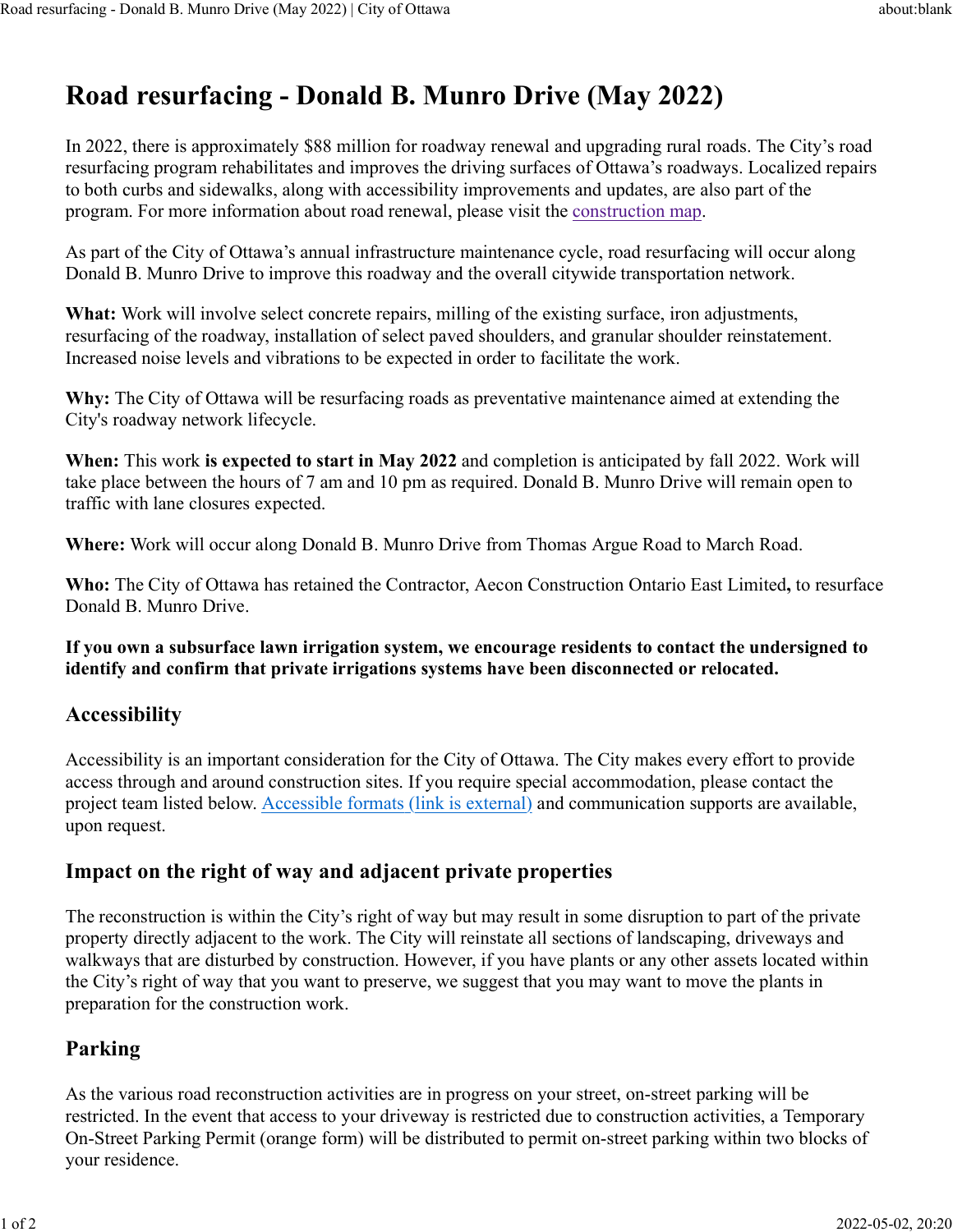# **Road resurfacing - Donald B. Munro Drive (May 2022)**

In 2022, there is approximately \$88 million for roadway renewal and upgrading rural roads. The City's road resurfacing program rehabilitates and improves the driving surfaces of Ottawa's roadways. Localized repairs to both curbs and sidewalks, along with accessibility improvements and updates, are also part of the program. For more information about road renewal, please visit the construction map.

As part of the City of Ottawa's annual infrastructure maintenance cycle, road resurfacing will occur along Donald B. Munro Drive to improve this roadway and the overall citywide transportation network.

**What:** Work will involve select concrete repairs, milling of the existing surface, iron adjustments, resurfacing of the roadway, installation of select paved shoulders, and granular shoulder reinstatement. Increased noise levels and vibrations to be expected in order to facilitate the work.

**Why:** The City of Ottawa will be resurfacing roads as preventative maintenance aimed at extending the City's roadway network lifecycle.

**When:** This work **is expected to start in May 2022** and completion is anticipated by fall 2022. Work will take place between the hours of 7 am and 10 pm as required. Donald B. Munro Drive will remain open to traffic with lane closures expected.

**Where:** Work will occur along Donald B. Munro Drive from Thomas Argue Road to March Road.

**Who:** The City of Ottawa has retained the Contractor, Aecon Construction Ontario East Limited**,** to resurface Donald B. Munro Drive.

**If you own a subsurface lawn irrigation system, we encourage residents to contact the undersigned to identify and confirm that private irrigations systems have been disconnected or relocated.**

## **Accessibility**

Accessibility is an important consideration for the City of Ottawa. The City makes every effort to provide access through and around construction sites. If you require special accommodation, please contact the project team listed below. Accessible formats (link is external) and communication supports are available, upon request.

## **Impact on the right of way and adjacent private properties**

The reconstruction is within the City's right of way but may result in some disruption to part of the private property directly adjacent to the work. The City will reinstate all sections of landscaping, driveways and walkways that are disturbed by construction. However, if you have plants or any other assets located within the City's right of way that you want to preserve, we suggest that you may want to move the plants in preparation for the construction work.

## **Parking**

As the various road reconstruction activities are in progress on your street, on-street parking will be restricted. In the event that access to your driveway is restricted due to construction activities, a Temporary On-Street Parking Permit (orange form) will be distributed to permit on-street parking within two blocks of your residence.